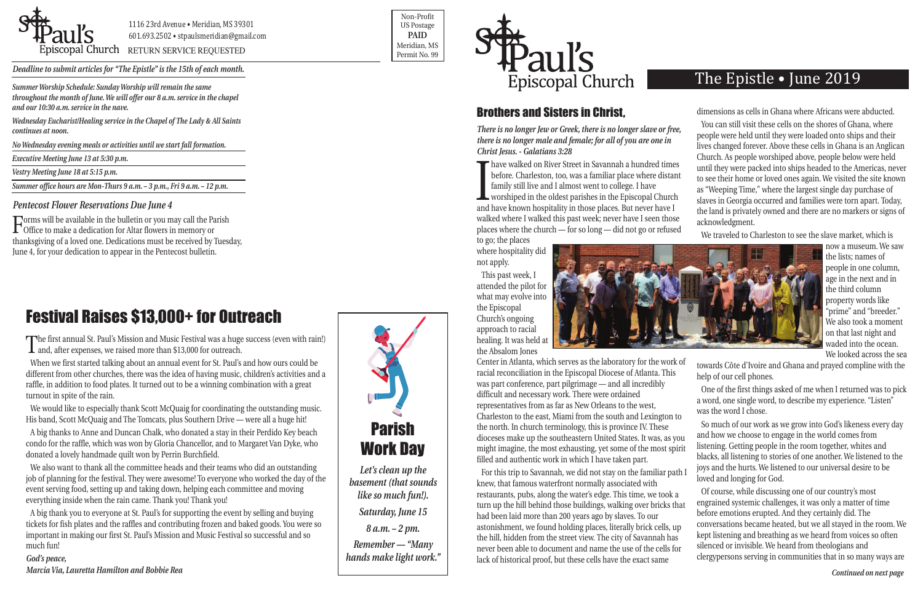

POSCOPAL Church RETURN SERVICE REQUESTED PERMIT NO. 99

Non-Profit US Postage **PAID** Meridian, MS



*Deadline to submit articles for "The Epistle" is the 15th of each month.* 

## The Epistle • June 2019

## Brothers and Sisters in Christ,

places where the church — for so long — did not go or refused to go; the places

where hospitality did not apply.

This past week, I attended the pilot for what may evolve into the Episcopal Church's ongoing approach to racial healing. It was held at the Absalom Jones



*There is no longer Jew or Greek, there is no longer slave or free, there is no longer male and female; for all of you are one in Christ Jesus. - Galatians 3:28* Find the methods of the state in statement a national development of the state family still live and I almost went to college. I have worshiped in the oldest parishes in the Episcopal Churcle and have known hospitality in **Thave walked on River Street in Savannah a hundred times** before. Charleston, too, was a familiar place where distant family still live and I almost went to college. I have worshiped in the oldest parishes in the Episcopal Church walked where I walked this past week; never have I seen those You can still visit these cells on the shores of Ghana, where people were held until they were loaded onto ships and their lives changed forever. Above these cells in Ghana is an Anglican Church. As people worshiped above, people below were held until they were packed into ships headed to the Americas, never to see their home or loved ones again. We visited the site known as "Weeping Time," where the largest single day purchase of slaves in Georgia occurred and families were torn apart. Today, the land is privately owned and there are no markers or signs of acknowledgment.

dimensions as cells in Ghana where Africans were abducted.

Center in Atlanta, which serves as the laboratory for the work of racial reconciliation in the Episcopal Diocese of Atlanta. This was part conference, part pilgrimage — and all incredibly difficult and necessary work. There were ordained representatives from as far as New Orleans to the west, Charleston to the east, Miami from the south and Lexington to the north. In church terminology, this is province IV. These dioceses make up the southeastern United States. It was, as you might imagine, the most exhausting, yet some of the most spirit filled and authentic work in which I have taken part. For this trip to Savannah, we did not stay on the familiar path I towards Côte d'Ivoire and Ghana and prayed compline with the help of our cell phones. One of the first things asked of me when I returned was to pick a word, one single word, to describe my experience. "Listen" was the word I chose. So much of our work as we grow into God's likeness every day and how we choose to engage in the world comes from listening. Getting people in the room together, whites and blacks, all listening to stories of one another. We listened to the joys and the hurts. We listened to our universal desire to be loved and longing for God.

We traveled to Charleston to see the slave market, which is

knew, that famous waterfront normally associated with restaurants, pubs, along the water's edge. This time, we took a turn up the hill behind those buildings, walking over bricks that had been laid more than 200 years ago by slaves. To our astonishment, we found holding places, literally brick cells, up the hill, hidden from the street view. The city of Savannah has never been able to document and name the use of the cells for lack of historical proof, but these cells have the exact same Of course, while discussing one of our country's most engrained systemic challenges, it was only a matter of time before emotions erupted. And they certainly did. The conversations became heated, but we all stayed in the room. We kept listening and breathing as we heard from voices so often silenced or invisible. We heard from theologians and clergypersons serving in communities that in so many ways are

now a museum. We saw the lists; names of people in one column, age in the next and in the third column property words like "prime" and "breeder." We also took a moment on that last night and waded into the ocean. We looked across the sea

When we first started talking about an annual event for St. Paul's and how ours could be different from other churches, there was the idea of having music, children's activities and a raffle, in addition to food plates. It turned out to be a winning combination with a great turnout in spite of the rain.

We would like to especially thank Scott McQuaig for coordinating the outstanding music. His band, Scott McQuaig and The Tomcats, plus Southern Drive — were all a huge hit!

A big thanks to Anne and Duncan Chalk, who donated a stay in their Perdido Key beach condo for the raffle, which was won by Gloria Chancellor, and to Margaret Van Dyke, who donated a lovely handmade quilt won by Perrin Burchfield.

We also want to thank all the committee heads and their teams who did an outstanding job of planning for the festival. They were awesome! To everyone who worked the day of the event serving food, setting up and taking down, helping each committee and moving everything inside when the rain came. Thank you! Thank you!

A big thank you to everyone at St. Paul's for supporting the event by selling and buying tickets for fish plates and the raffles and contributing frozen and baked goods. You were so important in making our first St. Paul's Mission and Music Festival so successful and so much fun!

### *God's peace, Marcia Via, Lauretta Hamilton and Bobbie Rea*

*Summer Worship Schedule: Sunday Worship will remain the same throughout the month of June. We will offer our 8 a.m. service in the chapel and our 10:30 a.m. service in the nave.*

*Wednesday Eucharist/Healing service in the Chapel of The Lady & All Saints continues at noon.*

*No Wednesday evening meals or activities until we start fall formation.*

*Executive Meeting June 13 at 5:30 p.m.*

*Vestry Meeting June 18 at 5:15 p.m.*

*Summer office hours are Mon-Thurs 9 a.m. – 3 p.m., Fri 9 a.m. – 12 p.m.*

# Festival Raises \$13,000+ for Outreach

The first annual St. Paul's Mission and Music Festival was a huge success (even with rain!) **1** and, after expenses, we raised more than \$13,000 for outreach.



*Let's clean up the basement (that sounds like so much fun!). Saturday, June 15 8 a.m. – 2 pm. Remember — "Many hands make light work."*

### *Pentecost Flower Reservations Due June 4*

Forms will be available in the bulletin or you may call the Parish Office to make a dedication for Altar flowers in memory or thanksgiving of a loved one. Dedications must be received by Tuesday, June 4, for your dedication to appear in the Pentecost bulletin.